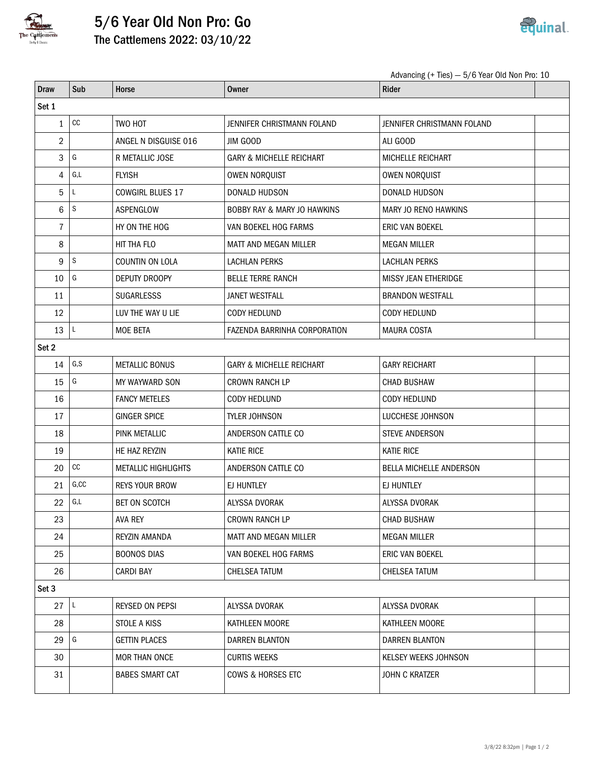

## 5/6 Year Old Non Pro: Go The Cattlemens 2022: 03/10/22



Advancing (+ Ties) — 5/6 Year Old Non Pro: 10

| <b>Draw</b>    | Sub                     | Horse                      | <b>Owner</b>                           | Rider                       |  |  |  |  |  |
|----------------|-------------------------|----------------------------|----------------------------------------|-----------------------------|--|--|--|--|--|
| Set 1          |                         |                            |                                        |                             |  |  |  |  |  |
| $\mathbf{1}$   | $_{\rm CC}$             | TWO HOT                    | JENNIFER CHRISTMANN FOLAND             | JENNIFER CHRISTMANN FOLAND  |  |  |  |  |  |
| $\overline{2}$ |                         | ANGEL N DISGUISE 016       | JIM GOOD                               | ALI GOOD                    |  |  |  |  |  |
| 3              | G                       | R METALLIC JOSE            | <b>GARY &amp; MICHELLE REICHART</b>    | MICHELLE REICHART           |  |  |  |  |  |
| 4              | G,L                     | <b>FLYISH</b>              | OWEN NORQUIST                          | OWEN NORQUIST               |  |  |  |  |  |
| 5              | Г                       | <b>COWGIRL BLUES 17</b>    | DONALD HUDSON                          | DONALD HUDSON               |  |  |  |  |  |
| 6              | $\mathsf S$             | ASPENGLOW                  | <b>BOBBY RAY &amp; MARY JO HAWKINS</b> | MARY JO RENO HAWKINS        |  |  |  |  |  |
| 7              |                         | HY ON THE HOG              | VAN BOEKEL HOG FARMS                   | ERIC VAN BOEKEL             |  |  |  |  |  |
| 8              |                         | HIT THA FLO                | <b>MATT AND MEGAN MILLER</b>           | <b>MEGAN MILLER</b>         |  |  |  |  |  |
| 9              | $\mathsf S$             | COUNTIN ON LOLA            | <b>LACHLAN PERKS</b>                   | <b>LACHLAN PERKS</b>        |  |  |  |  |  |
| 10             | G                       | DEPUTY DROOPY              | <b>BELLE TERRE RANCH</b>               | <b>MISSY JEAN ETHERIDGE</b> |  |  |  |  |  |
| 11             |                         | <b>SUGARLESSS</b>          | <b>JANET WESTFALL</b>                  | <b>BRANDON WESTFALL</b>     |  |  |  |  |  |
| 12             |                         | LUV THE WAY U LIE          | <b>CODY HEDLUND</b>                    | CODY HEDLUND                |  |  |  |  |  |
| 13             | L                       | <b>MOE BETA</b>            | FAZENDA BARRINHA CORPORATION           | <b>MAURA COSTA</b>          |  |  |  |  |  |
| Set 2          |                         |                            |                                        |                             |  |  |  |  |  |
| 14             | G, S                    | <b>METALLIC BONUS</b>      | <b>GARY &amp; MICHELLE REICHART</b>    | <b>GARY REICHART</b>        |  |  |  |  |  |
| 15             | G                       | MY WAYWARD SON             | <b>CROWN RANCH LP</b>                  | <b>CHAD BUSHAW</b>          |  |  |  |  |  |
| 16             |                         | <b>FANCY METELES</b>       | <b>CODY HEDLUND</b>                    | <b>CODY HEDLUND</b>         |  |  |  |  |  |
| 17             |                         | <b>GINGER SPICE</b>        | TYLER JOHNSON                          | LUCCHESE JOHNSON            |  |  |  |  |  |
| 18             |                         | PINK METALLIC              | ANDERSON CATTLE CO                     | STEVE ANDERSON              |  |  |  |  |  |
| 19             |                         | HE HAZ REYZIN              | <b>KATIE RICE</b>                      | <b>KATIE RICE</b>           |  |  |  |  |  |
| 20             | cc                      | <b>METALLIC HIGHLIGHTS</b> | ANDERSON CATTLE CO                     | BELLA MICHELLE ANDERSON     |  |  |  |  |  |
| 21             | G, CC                   | <b>REYS YOUR BROW</b>      | EJ HUNTLEY                             | EJ HUNTLEY                  |  |  |  |  |  |
| 22             | $\mathsf{G},\mathsf{L}$ | <b>BET ON SCOTCH</b>       | ALYSSA DVORAK                          | ALYSSA DVORAK               |  |  |  |  |  |
| 23             |                         | <b>AVA REY</b>             | <b>CROWN RANCH LP</b>                  | CHAD BUSHAW                 |  |  |  |  |  |
| 24             |                         | REYZIN AMANDA              | MATT AND MEGAN MILLER                  | <b>MEGAN MILLER</b>         |  |  |  |  |  |
| 25             |                         | <b>BOONOS DIAS</b>         | VAN BOEKEL HOG FARMS                   | ERIC VAN BOEKEL             |  |  |  |  |  |
| 26             |                         | <b>CARDI BAY</b>           | <b>CHELSEA TATUM</b>                   | <b>CHELSEA TATUM</b>        |  |  |  |  |  |
| Set 3          |                         |                            |                                        |                             |  |  |  |  |  |
| 27             | L                       | REYSED ON PEPSI            | ALYSSA DVORAK                          | ALYSSA DVORAK               |  |  |  |  |  |
| 28             |                         | STOLE A KISS               | KATHLEEN MOORE                         | KATHLEEN MOORE              |  |  |  |  |  |
| 29             | G                       | <b>GETTIN PLACES</b>       | <b>DARREN BLANTON</b>                  | <b>DARREN BLANTON</b>       |  |  |  |  |  |
| 30             |                         | MOR THAN ONCE              | <b>CURTIS WEEKS</b>                    | KELSEY WEEKS JOHNSON        |  |  |  |  |  |
| 31             |                         | <b>BABES SMART CAT</b>     | COWS & HORSES ETC                      | JOHN C KRATZER              |  |  |  |  |  |